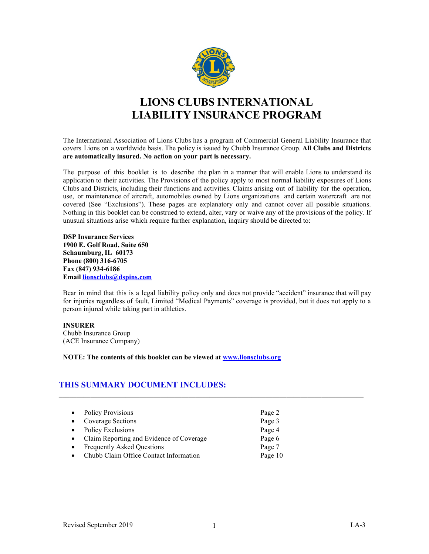

# **LIONS CLUBS INTERNATIONAL LIABILITY INSURANCE PROGRAM**

The International Association of Lions Clubs has a program of Commercial General Liability Insurance that covers Lions on a worldwide basis. The policy is issued by Chubb Insurance Group. **All Clubs and Districts are automatically insured. No action on your part is necessary.**

The purpose of this booklet is to describe the plan in a manner that will enable Lions to understand its application to their activities. The Provisions of the policy apply to most normal liability exposures of Lions Clubs and Districts, including their functions and activities. Claims arising out of liability for the operation, use, or maintenance of aircraft, automobiles owned by Lions organizations and certain watercraft are not covered (See "Exclusions"). These pages are explanatory only and cannot cover all possible situations. Nothing in this booklet can be construed to extend, alter, vary or waive any of the provisions of the policy. If unusual situations arise which require further explanation, inquiry should be directed to:

**DSP Insurance Services 1900 E. Golf Road, Suite 650 Schaumburg, IL 60173 Phone (800) 316-6705 Fax (847) 934-6186 Email [lionsclubs@dspins.com](mailto:lionsclubs@dspins.com)**

Bear in mind that this is a legal liability policy only and does not provide "accident" insurance that will pay for injuries regardless of fault. Limited "Medical Payments" coverage is provided, but it does not apply to a person injured while taking part in athletics.

**\_\_\_\_\_\_\_\_\_\_\_\_\_\_\_\_\_\_\_\_\_\_\_\_\_\_\_\_\_\_\_\_\_\_\_\_\_\_\_\_\_\_\_\_\_\_\_\_\_\_\_\_\_\_\_\_\_\_\_\_\_\_\_\_\_\_\_\_\_\_\_\_\_\_\_\_\_\_\_\_\_\_\_\_\_\_\_**

#### **INSURER**

Chubb Insurance Group (ACE Insurance Company)

**NOTE: The contents of this booklet can be viewed at [www.lionsclubs.org](http://www.lionsclubs.org/)**

# **THIS SUMMARY DOCUMENT INCLUDES:**

|           | • Policy Provisions                        | Page 2  |
|-----------|--------------------------------------------|---------|
|           | • Coverage Sections                        | Page 3  |
|           | • Policy Exclusions                        | Page 4  |
|           | • Claim Reporting and Evidence of Coverage | Page 6  |
| $\bullet$ | <b>Frequently Asked Questions</b>          | Page 7  |
| $\bullet$ | Chubb Claim Office Contact Information     | Page 10 |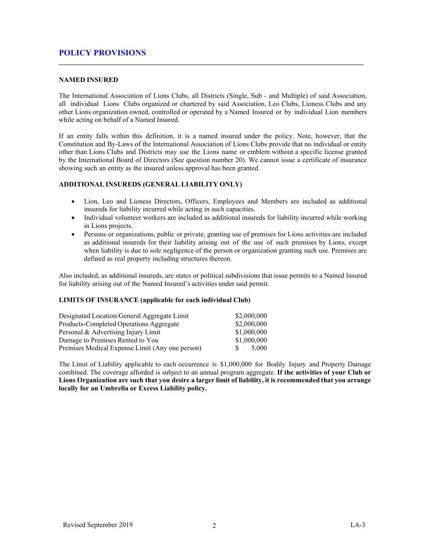# **POLICY PROVISIONS**

#### **NAMED INSURED**

The International Association of Lions Clubs, all Districts (Single, Sub - and Multiple) of said Association, all individual Lions Clubs organized or chartered by said Association, Leo Clubs, Lioness Clubs and any other Lions organization owned, controlled or operated by a Named Insured or by individual Lion members while acting on behalf of a Named Insured.

**\_\_\_\_\_\_\_\_\_\_\_\_\_\_\_\_\_\_\_\_\_\_\_\_\_\_\_\_\_\_\_\_\_\_\_\_\_\_\_\_\_\_\_\_\_\_\_\_\_\_\_\_\_\_\_\_\_\_\_\_\_\_\_\_\_\_\_\_\_\_\_\_\_\_\_\_\_\_\_\_\_\_\_\_\_\_\_**

If an entity falls within this definition, it is a named insured under the policy. Note, however, that the Constitution and By-Laws of the International Association of Lions Clubs provide that no individual or entity other than Lions Clubs and Districts may use the Lions name or emblem without a specific license granted by the International Board of Directors (See question number 20). We cannot issue a certificate of insurance showing such an entity as the insured unless approval has been granted.

#### **ADDITIONAL INSUREDS (GENERAL LIABILITY ONLY)**

- Lion, Leo and Lioness Directors, Officers, Employees and Members are included as additional insureds for liability incurred while acting in such capacities.
- Individual volunteer workers are included as additional insureds for liability incurred while working in Lions projects.
- Persons or organizations, public or private, granting use of premises for Lions activities are included as additional insureds for their liability arising out of the use of such premises by Lions, except when liability is due to sole negligence of the person or organization granting such use. Premises are defined as real property including structures thereon.

Also included, as additional insureds, are states or political subdivisions that issue permits to a Named Insured for liability arising out of the Named Insured's activities under said permit.

#### **LIMITS OF INSURANCE (applicable for each individual Club)**

| Designated Location/General Aggregate Limit     | \$2,000,000 |
|-------------------------------------------------|-------------|
| Products-Completed Operations Aggregate         | \$2,000,000 |
| Personal & Advertising Injury Limit             | \$1,000,000 |
| Damage to Premises Rented to You                | \$1,000,000 |
| Premises Medical Expense Limit (Any one person) | 5.000       |

The Limit of Liability applicable to each occurrence is \$1,000,000 for Bodily Injury and Property Damage combined. The coverage afforded is subject to an annual program aggregate. **If the activities of your Club or Lions Organization are such that you desire a larger limit of liability, it is recommended that you arrange locally for an Umbrella or Excess Liability policy.**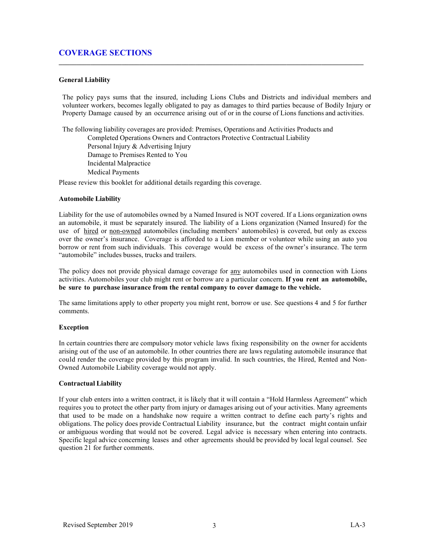# **COVERAGE SECTIONS**

#### **General Liability**

The policy pays sums that the insured, including Lions Clubs and Districts and individual members and volunteer workers, becomes legally obligated to pay as damages to third parties because of Bodily Injury or Property Damage caused by an occurrence arising out of or in the course of Lions functions and activities.

**\_\_\_\_\_\_\_\_\_\_\_\_\_\_\_\_\_\_\_\_\_\_\_\_\_\_\_\_\_\_\_\_\_\_\_\_\_\_\_\_\_\_\_\_\_\_\_\_\_\_\_\_\_\_\_\_\_\_\_\_\_\_\_\_\_\_\_\_\_\_\_\_\_\_\_\_\_\_\_\_\_\_\_\_\_\_\_**

The following liability coverages are provided: Premises, Operations and Activities Products and Completed Operations Owners and Contractors Protective Contractual Liability Personal Injury & Advertising Injury Damage to Premises Rented to You Incidental Malpractice Medical Payments

Please review this booklet for additional details regarding this coverage.

#### **Automobile Liability**

Liability for the use of automobiles owned by a Named Insured is NOT covered. If a Lions organization owns an automobile, it must be separately insured. The liability of a Lions organization (Named Insured) for the use of hired or non-owned automobiles (including members' automobiles) is covered, but only as excess over the owner's insurance. Coverage is afforded to a Lion member or volunteer while using an auto you borrow or rent from such individuals. This coverage would be excess of the owner's insurance. The term "automobile" includes busses, trucks and trailers.

The policy does not provide physical damage coverage for any automobiles used in connection with Lions activities. Automobiles your club might rent or borrow are a particular concern. **If you rent an automobile, be sure to purchase insurance from the rental company to cover damage to the vehicle.**

The same limitations apply to other property you might rent, borrow or use. See questions 4 and 5 for further comments.

#### **Exception**

In certain countries there are compulsory motor vehicle laws fixing responsibility on the owner for accidents arising out of the use of an automobile. In other countries there are laws regulating automobile insurance that could render the coverage provided by this program invalid. In such countries, the Hired, Rented and Non-Owned Automobile Liability coverage would not apply.

#### **Contractual Liability**

If your club enters into a written contract, it is likely that it will contain a "Hold Harmless Agreement" which requires you to protect the other party from injury or damages arising out of your activities. Many agreements that used to be made on a handshake now require a written contract to define each party's rights and obligations. The policy does provide Contractual Liability insurance, but the contract might contain unfair or ambiguous wording that would not be covered. Legal advice is necessary when entering into contracts. Specific legal advice concerning leases and other agreements should be provided by local legal counsel. See question 21 for further comments.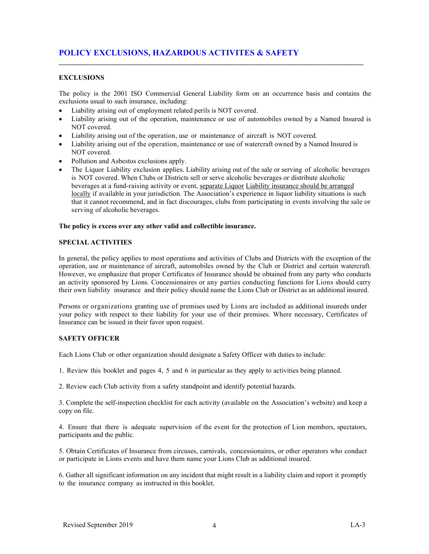## **EXCLUSIONS**

The policy is the 2001 ISO Commercial General Liability form on an occurrence basis and contains the exclusions usual to such insurance, including:

**\_\_\_\_\_\_\_\_\_\_\_\_\_\_\_\_\_\_\_\_\_\_\_\_\_\_\_\_\_\_\_\_\_\_\_\_\_\_\_\_\_\_\_\_\_\_\_\_\_\_\_\_\_\_\_\_\_\_\_\_\_\_\_\_\_\_\_\_\_\_\_\_\_\_\_\_\_\_\_\_\_\_\_\_\_\_\_**

- Liability arising out of employment related perils is NOT covered.
- Liability arising out of the operation, maintenance or use of automobiles owned by a Named Insured is NOT covered.
- Liability arising out of the operation, use or maintenance of aircraft is NOT covered.
- Liability arising out of the operation, maintenance or use of watercraft owned by a Named Insured is NOT covered.
- Pollution and Asbestos exclusions apply.
- The Liquor Liability exclusion applies. Liability arising out of the sale or serving of alcoholic beverages is NOT covered. When Clubs or Districts sell or serve alcoholic beverages or distribute alcoholic beverages at a fund-raising activity or event, separate Liquor Liability insurance should be arranged locally if available in your jurisdiction. The Association's experience in liquor liability situations is such that it cannot recommend, and in fact discourages, clubs from participating in events involving the sale or serving of alcoholic beverages.

#### **The policy is excess over any other valid and collectible insurance.**

#### **SPECIAL ACTIVITIES**

In general, the policy applies to most operations and activities of Clubs and Districts with the exception of the operation, use or maintenance of aircraft, automobiles owned by the Club or District and certain watercraft. However, we emphasize that proper Certificates of Insurance should be obtained from any party who conducts an activity sponsored by Lions. Concessionaires or any parties conducting functions for Lions should carry their own liability insurance and their policy should name the Lions Club or District as an additional insured.

Persons or organizations granting use of premises used by Lions are included as additional insureds under your policy with respect to their liability for your use of their premises. Where necessary, Certificates of Insurance can be issued in their favor upon request.

#### **SAFETY OFFICER**

Each Lions Club or other organization should designate a Safety Officer with duties to include:

1. Review this booklet and pages 4, 5 and 6 in particular as they apply to activities being planned.

2. Review each Club activity from a safety standpoint and identify potential hazards.

3. Complete the self-inspection checklist for each activity (available on the Association's website) and keep a copy on file.

4. Ensure that there is adequate supervision of the event for the protection of Lion members, spectators, participants and the public.

5. Obtain Certificates of Insurance from circuses, carnivals, concessionaires, or other operators who conduct or participate in Lions events and have them name your Lions Club as additional insured.

6. Gather all significant information on any incident that might result in a liability claim and report it promptly to the insurance company as instructed in this booklet.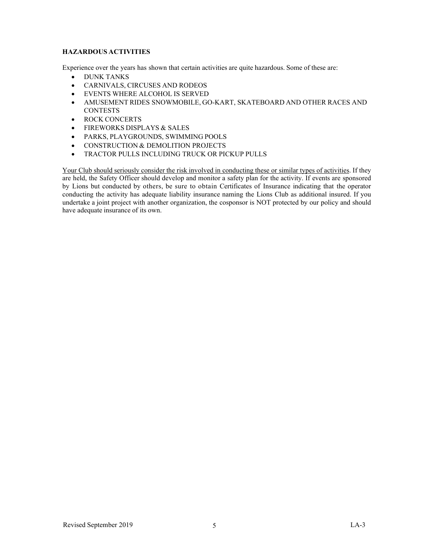# **HAZARDOUS ACTIVITIES**

Experience over the years has shown that certain activities are quite hazardous. Some of these are:

- DUNK TANKS
- CARNIVALS, CIRCUSES AND RODEOS
- EVENTS WHERE ALCOHOL IS SERVED
- AMUSEMENT RIDES SNOWMOBILE, GO-KART, SKATEBOARD AND OTHER RACES AND **CONTESTS**
- ROCK CONCERTS
- FIREWORKS DISPLAYS & SALES
- PARKS, PLAYGROUNDS, SWIMMING POOLS
- CONSTRUCTION & DEMOLITION PROJECTS
- TRACTOR PULLS INCLUDING TRUCK OR PICKUP PULLS

Your Club should seriously consider the risk involved in conducting these or similar types of activities. If they are held, the Safety Officer should develop and monitor a safety plan for the activity. If events are sponsored by Lions but conducted by others, be sure to obtain Certificates of Insurance indicating that the operator conducting the activity has adequate liability insurance naming the Lions Club as additional insured. If you undertake a joint project with another organization, the cosponsor is NOT protected by our policy and should have adequate insurance of its own.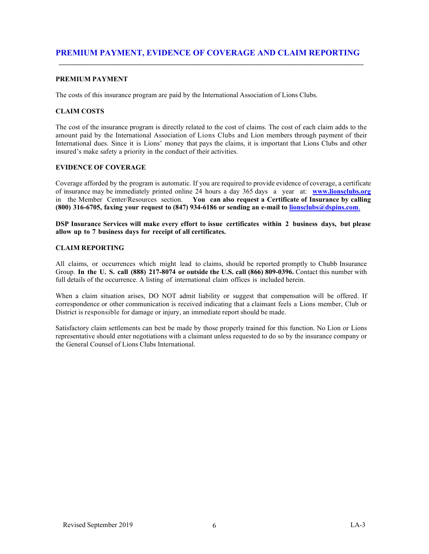### **PREMIUM PAYMENT**

The costs of this insurance program are paid by the International Association of Lions Clubs.

# **CLAIM COSTS**

The cost of the insurance program is directly related to the cost of claims. The cost of each claim adds to the amount paid by the International Association of Lions Clubs and Lion members through payment of their International dues. Since it is Lions' money that pays the claims, it is important that Lions Clubs and other insured's make safety a priority in the conduct of their activities.

## **EVIDENCE OF COVERAGE**

Coverage afforded by the program is automatic. If you are required to provide evidence of coverage, a certificate of insurance may be immediately printed online 24 hours a day 365 days a year at: **[www.lionsclubs.org](http://www.lionsclubs.org/)** in the Member Center/Resources section. **You can also request a Certificate of Insurance by calling (800) 316-6705, faxing your request to (847) 934-6186 or sending an e-mail to [lionsclubs@dspins.com](mailto:lionsclubs@dspins.com.)**.

**DSP Insurance Services will make every effort to issue certificates within 2 business days, but please allow up to 7 business days for receipt of all certificates.**

#### **CLAIM REPORTING**

All claims, or occurrences which might lead to claims, should be reported promptly to Chubb Insurance Group. **In the U. S. call (888) 217-8074 or outside the U.S. call (866) 809-0396.** Contact this number with full details of the occurrence. A listing of international claim offices is included herein.

When a claim situation arises, DO NOT admit liability or suggest that compensation will be offered. If correspondence or other communication is received indicating that a claimant feels a Lions member, Club or District is responsible for damage or injury, an immediate report should be made.

Satisfactory claim settlements can best be made by those properly trained for this function. No Lion or Lions representative should enter negotiations with a claimant unless requested to do so by the insurance company or the General Counsel of Lions Clubs International.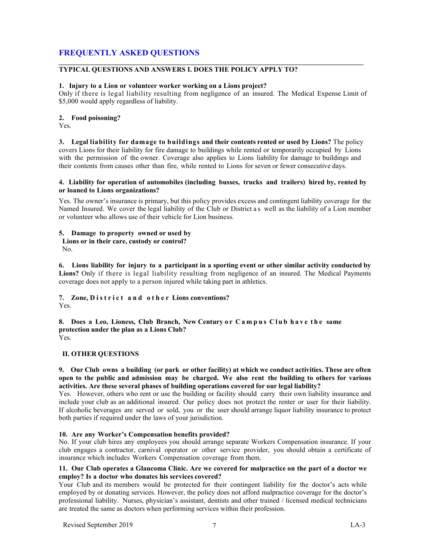# **FREQUENTLY ASKED QUESTIONS**

#### **\_\_\_\_\_\_\_\_\_\_\_\_\_\_\_\_\_\_\_\_\_\_\_\_\_\_\_\_\_\_\_\_\_\_\_\_\_\_\_\_\_\_\_\_\_\_\_\_\_\_\_\_\_\_\_\_\_\_\_\_\_\_\_\_\_\_\_\_\_\_\_\_\_\_\_\_\_\_\_\_\_\_\_\_\_\_\_ TYPICAL QUESTIONS AND ANSWERS I. DOES THE POLICY APPLY TO?**

#### **1. Injury to a Lion or volunteer worker working on a Lions project?**

Only if there is legal liability resulting from negligence of an insured. The Medical Expense Limit of \$5,000 would apply regardless of liability.

#### **2. Food poisoning?**

Yes.

**3. Legal liability for damage to buildings and their contents rented or used by Lions?** The policy covers Lions for their liability for fire damage to buildings while rented or temporarily occupied by Lions with the permission of the owner. Coverage also applies to Lions liability for damage to buildings and their contents from causes other than fire, while rented to Lions for seven or fewer consecutive days.

#### **4. Liability for operation of automobiles (including busses, trucks and trailers) hired by, rented by or loaned to Lions organizations?**

Yes. The owner's insurance is primary, but this policy provides excess and contingent liability coverage for the Named Insured. We cover the legal liability of the Club or District a s well as the liability of a Lion member or volunteer who allows use of their vehicle for Lion business.

# **5. Damage to property owned or used by**

**Lions or in their care, custody or control?**

No.

**6. Lions liability for injury to a participant in a sporting event or other similar activity conducted by Lions?** Only if there is legal liability resulting from negligence of an insured. The Medical Payments coverage does not apply to a person injured while taking part in athletics.

# **7. Zone, District and other Lions conventions?**

Yes.

**8. Does a Leo, Lioness, Club Branch, New Century o r Campus Club have the same protection under the plan as a Lions Club?**  Yes.

#### **II. OTHER QUESTIONS**

#### **9. Our Club owns a building (or park or other facility) at which we conduct activities. These are often open to the public and admission may be charged. We also rent the building to others for various activities. Are these several phases of building operations covered for our legal liability?**

Yes. However, others who rent or use the building or facility should carry their own liability insurance and include your club as an additional insured. Our policy does not protect the renter or user for their liability. If alcoholic beverages are served or sold, you or the user should arrange liquor liability insurance to protect both parties if required under the laws of your jurisdiction.

#### **10. Are any Worker's Compensation benefits provided?**

No. If your club hires any employees you should arrange separate Workers Compensation insurance. If your club engages a contractor, carnival operator or other service provider, you should obtain a certificate of insurance which includes Workers Compensation coverage from them.

#### **11. Our Club operates a Glaucoma Clinic. Are we covered for malpractice on the part of a doctor we employ? Is a doctor who donates his services covered?**

Your Club and its members would be protected for their contingent liability for the doctor's acts while employed by or donating services. However, the policy does not afford malpractice coverage for the doctor's professional liability. Nurses, physician's assistant, dentists and other trained / licensed medical technicians are treated the same as doctors when performing services within their profession.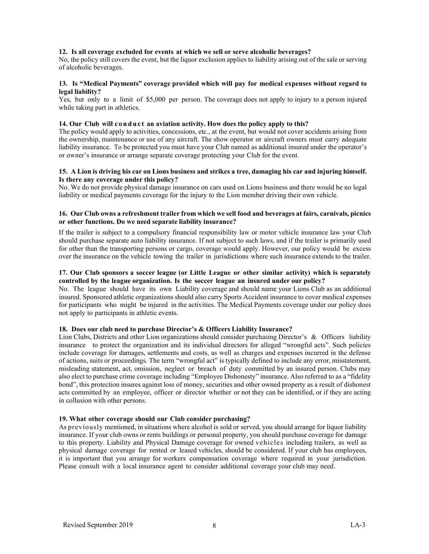#### **12. Is all coverage excluded for events at which we sell or serve alcoholic beverages?**

No, the policy still covers the event, but the liquor exclusion applies to liability arising out of the sale or serving of alcoholic beverages.

#### **13. Is "Medical Payments" coverage provided which will pay for medical expenses without regard to legal liability?**

Yes, but only to a limit of \$5,000 per person. The coverage does not apply to injury to a person injured while taking part in athletics.

#### **14. Our Club will conduct an aviation activity. How does the policy apply to this?**

The policy would apply to activities, concessions, etc., at the event, but would not cover accidents arising from the ownership, maintenance or use of any aircraft. The show operator or aircraft owners must carry adequate liability insurance. To be protected you must have your Club named as additional insured under the operator's or owner's insurance or arrange separate coverage protecting your Club for the event.

#### **15. A Lion is driving his car on Lions business and strikes a tree, damaging his car and injuring himself. Is there any coverage under this policy?**

No. We do not provide physical damage insurance on cars used on Lions business and there would be no legal liability or medical payments coverage for the injury to the Lion member driving their own vehicle.

#### **16. Our Club owns a refreshment trailer from which we sell food and beverages at fairs, carnivals, picnics or other functions. Do we need separate liability insurance?**

If the trailer is subject to a compulsory financial responsibility law or motor vehicle insurance law your Club should purchase separate auto liability insurance. If not subject to such laws, and if the trailer is primarily used for other than the transporting persons or cargo, coverage would apply. However, our policy would be excess over the insurance on the vehicle towing the trailer in jurisdictions where such insurance extends to the trailer.

#### **17. Our Club sponsors a soccer league (or Little League or other similar activity) which is separately controlled by the league organization. Is the soccer league an insured under our policy?**

No. The league should have its own Liability coverage and should name your Lions Club as an additional insured. Sponsored athletic organizations should also carry Sports Accident insurance to cover medical expenses for participants who might be injured in the activities. The Medical Payments coverage under our policy does not apply to participants in athletic events.

#### **18. Does our club need to purchase Director's & Officers Liability Insurance?**

Lion Clubs, Districts and other Lion organizations should consider purchasing Director's & Officers liability insurance to protect the organization and its individual directors for alleged "wrongful acts". Such policies include coverage for damages, settlements and costs, as well as charges and expenses incurred in the defense of actions, suits or proceedings. The term "wrongful act" is typically defined to include any error, misstatement, misleading statement, act, omission, neglect or breach of duty committed by an insured person. Clubs may also elect to purchase crime coverage including "Employee Dishonesty" insurance. Also referred to as a "fidelity bond", this protection insures against loss of money, securities and other owned property as a result of dishonest acts committed by an employee, officer or director whether or not they can be identified, or if they are acting in collusion with other persons.

#### **19. What other coverage should our Club consider purchasing?**

As previously mentioned, in situations where alcohol is sold or served, you should arrange for liquor liability insurance. If your club owns or rents buildings or personal property, you should purchase coverage for damage to this property. Liability and Physical Damage coverage for owned vehicles including trailers, as well as physical damage coverage for rented or leased vehicles, should be considered. If your club has employees, it is important that you arrange for workers compensation coverage where required in your jurisdiction. Please consult with a local insurance agent to consider additional coverage your club may need.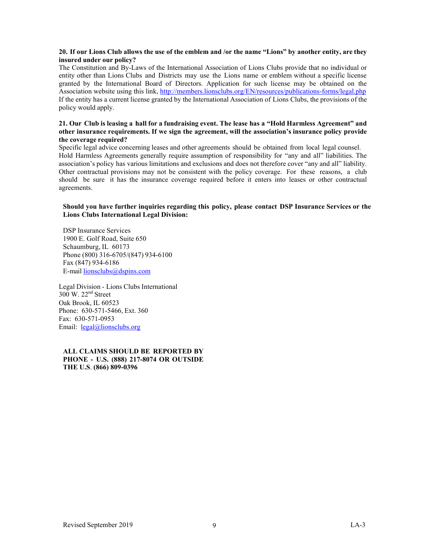#### **20. If our Lions Club allows the use of the emblem and /or the name "Lions" by another entity, are they insured under our policy?**

The Constitution and By-Laws of the International Association of Lions Clubs provide that no individual or entity other than Lions Clubs and Districts may use the Lions name or emblem without a specific license granted by the International Board of Directors. Application for such license may be obtained on the Association website using this link[, http://members.lionsclubs.org/EN/resources/publications-forms/legal.php](http://members.lionsclubs.org/EN/resources/publications-forms/legal.php) If the entity has a current license granted by the International Association of Lions Clubs, the provisions of the policy would apply.

#### **21. Our Club is leasing a hall for a fundraising event. The lease has a "Hold Harmless Agreement" and other insurance requirements. If we sign the agreement, will the association's insurance policy provide the coverage required?**

Specific legal advice concerning leases and other agreements should be obtained from local legal counsel. Hold Harmless Agreements generally require assumption of responsibility for "any and all" liabilities. The association's policy has various limitations and exclusions and does not therefore cover "any and all" liability. Other contractual provisions may not be consistent with the policy coverage. For these reasons, a club should be sure it has the insurance coverage required before it enters into leases or other contractual agreements.

#### **Should you have further inquiries regarding this policy, please contact DSP Insurance Services or the Lions Clubs International Legal Division:**

DSP Insurance Services 1900 E. Golf Road, Suite 650 Schaumburg, IL 60173 Phone (800) 316-6705/(847) 934-6100 Fax (847) 934-6186 E-mail [lionsclubs@dspins.com](mailto:lionsclubs@dspins.com)

Legal Division - Lions Clubs International 300 W. 22nd Street Oak Brook, IL 60523 Phone: 630-571-5466, Ext. 360 Fax: 630-571-0953 Email: [legal@lionsclubs.org](mailto:legal@lionsclubs.org)

#### **ALL CLAIMS SHOULD BE REPORTED BY PHONE - U.S. (888) 217-8074 OR OUTSIDE THE U.S**. **(866) 809-0396**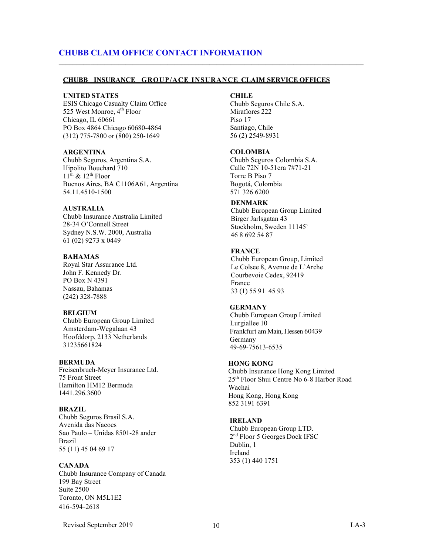# **CHUBB CLAIM OFFICE CONTACT INFORMATION**

#### **CHUBB INSURANCE GROUP/ACE INSURANCE CLAIM SERVICE OFFICES**

**\_\_\_\_\_\_\_\_\_\_\_\_\_\_\_\_\_\_\_\_\_\_\_\_\_\_\_\_\_\_\_\_\_\_\_\_\_\_\_\_\_\_\_\_\_\_\_\_\_\_\_\_\_\_\_\_\_\_\_\_\_\_\_\_\_\_\_\_\_\_\_\_\_\_\_\_\_\_\_\_\_\_\_\_\_\_\_**

#### **UNITED STATES**

ESIS Chicago Casualty Claim Office 525 West Monroe, 4<sup>th</sup> Floor Chicago, IL 60661 PO Box 4864 Chicago 60680-4864 (312) 775-7800 or (800) 250-1649

#### **ARGENTINA**

Chubb Seguros, Argentina S.A. Hipolito Bouchard 710  $11<sup>th</sup>$  &  $12<sup>th</sup>$  Floor Buenos Aires, BA C1106A61, Argentina 54.11.4510-1500

#### **AUSTRALIA**

Chubb Insurance Australia Limited 28-34 O'Connell Street Sydney N.S.W. 2000, Australia 61 (02) 9273 x 0449

#### **BAHAMAS**

Royal Star Assurance Ltd. John F. Kennedy Dr. PO Box N 4391 Nassau, Bahamas (242) 328-7888

#### **BELGIUM**

Chubb European Group Limited Amsterdam-Wegalaan 43 Hoofddorp, 2133 Netherlands 31235661824

#### **BERMUDA**

Freisenbruch-Meyer Insurance Ltd. 75 Front Street Hamilton HM12 Bermuda 1441.296.3600

#### **BRAZIL**

Chubb Seguros Brasil S.A. Avenida das Nacoes Sao Paulo – Unidas 8501-28 ander Brazil 55 (11) 45 04 69 17

#### **CANADA**

Chubb Insurance Company of Canada 199 Bay Street Suite 2500 Toronto, ON M5L1E2 416-594-2618

#### **CHILE**

 Chubb Seguros Chile S.A. Miraflores 222 Piso 17 Santiago, Chile 56 (2) 2549-8931

#### **COLOMBIA**

 Chubb Seguros Colombia S.A. Calle 72N 10-51cra 7#71-21 Torre B Piso 7 Bogotá, Colombia 571 326 6200

#### **DENMARK**

Chubb European Group Limited Birger Jarlsgatan 43 Stockholm, Sweden 11145` 46 8 692 54 87

#### **FRANCE**

Chubb European Group, Limited Le Colsee 8, Avenue de L'Arche Courbevoie Cedex, 92419 France 33 (1) 55 91 45 93

#### **GERMANY**

 Chubb European Group Limited Lurgiallee 10 Frankfurt am Main, Hessen 60439 Germany 49-69-75613-6535

#### **HONG KONG**

Chubb Insurance Hong Kong Limited 25th Floor Shui Centre No 6-8 Harbor Road Wachai Hong Kong, Hong Kong 852 3191 6391

#### **IRELAND**

Chubb European Group LTD. 2nd Floor 5 Georges Dock IFSC Dublin, 1 Ireland 353 (1) 440 1751

Revised September 2019 10 LA-3